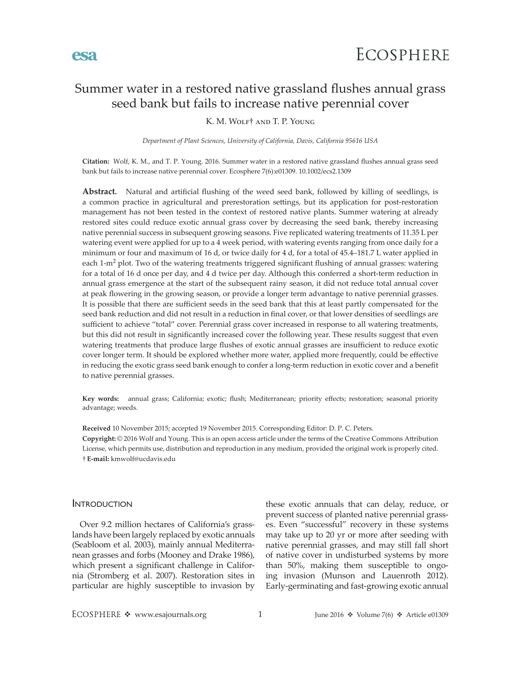# Summer water in a restored native grassland flushes annual grass seed bank but fails to increase native perennial cover

K. M. Wolf† and T. P. Young

*Department of Plant Sciences, University of California, Davis, California 95616 USA*

**Citation:** Wolf, K. M., and T. P. Young. 2016. Summer water in a restored native grassland flushes annual grass seed bank but fails to increase native perennial cover. Ecosphere 7(6):e01309. 10.1002/ecs2.1309

**Abstract.** Natural and artificial flushing of the weed seed bank, followed by killing of seedlings, is a common practice in agricultural and prerestoration settings, but its application for post-restoration management has not been tested in the context of restored native plants. Summer watering at already restored sites could reduce exotic annual grass cover by decreasing the seed bank, thereby increasing native perennial success in subsequent growing seasons. Five replicated watering treatments of 11.35 L per watering event were applied for up to a 4 week period, with watering events ranging from once daily for a minimum or four and maximum of 16 d, or twice daily for 4 d, for a total of 45.4–181.7 L water applied in each  $1-m^2$  plot. Two of the watering treatments triggered significant flushing of annual grasses: watering for a total of 16 d once per day, and 4 d twice per day. Although this conferred a short-term reduction in annual grass emergence at the start of the subsequent rainy season, it did not reduce total annual cover at peak flowering in the growing season, or provide a longer term advantage to native perennial grasses. It is possible that there are sufficient seeds in the seed bank that this at least partly compensated for the seed bank reduction and did not result in a reduction in final cover, or that lower densities of seedlings are sufficient to achieve "total" cover. Perennial grass cover increased in response to all watering treatments, but this did not result in significantly increased cover the following year. These results suggest that even watering treatments that produce large flushes of exotic annual grasses are insufficient to reduce exotic cover longer term. It should be explored whether more water, applied more frequently, could be effective in reducing the exotic grass seed bank enough to confer a long-term reduction in exotic cover and a benefit to native perennial grasses.

**Key words:** annual grass; California; exotic; flush; Mediterranean; priority effects; restoration; seasonal priority advantage; weeds.

**Received** 10 November 2015; accepted 19 November 2015. Corresponding Editor: D. P. C. Peters. **Copyright:** © 2016 Wolf and Young. This is an open access article under the terms of the [Creative Commons Attribution](http://creativecommons.org/licenses/by/3.0/)  License, which permits use, distribution and reproduction in any medium, provided the original work is properly cited. † **E-mail:** [kmwolf@ucdavis.edu](mailto:kmwolf@ucdavis.edu)

### **INTRODUCTION**

Over 9.2 million hectares of California's grasslands have been largely replaced by exotic annuals (Seabloom et al. 2003), mainly annual Mediterranean grasses and forbs (Mooney and Drake 1986), which present a significant challenge in California (Stromberg et al. 2007). Restoration sites in particular are highly susceptible to invasion by these exotic annuals that can delay, reduce, or prevent success of planted native perennial grasses. Even "successful" recovery in these systems may take up to 20 yr or more after seeding with native perennial grasses, and may still fall short of native cover in undisturbed systems by more than 50%, making them susceptible to ongoing invasion (Munson and Lauenroth 2012). Early-germinating and fast-growing exotic annual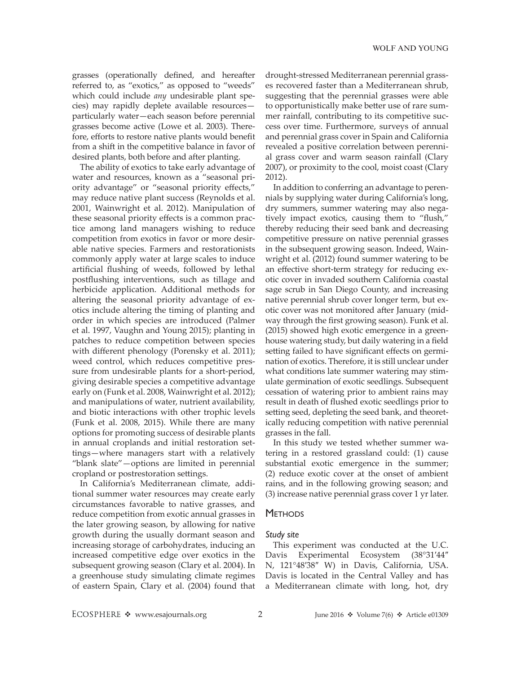grasses (operationally defined, and hereafter referred to, as "exotics," as opposed to "weeds" which could include *any* undesirable plant species) may rapidly deplete available resources particularly water—each season before perennial grasses become active (Lowe et al. 2003). Therefore, efforts to restore native plants would benefit from a shift in the competitive balance in favor of desired plants, both before and after planting.

The ability of exotics to take early advantage of water and resources, known as a "seasonal priority advantage" or "seasonal priority effects," may reduce native plant success (Reynolds et al. 2001, Wainwright et al. 2012). Manipulation of these seasonal priority effects is a common practice among land managers wishing to reduce competition from exotics in favor or more desirable native species. Farmers and restorationists commonly apply water at large scales to induce artificial flushing of weeds, followed by lethal postflushing interventions, such as tillage and herbicide application. Additional methods for altering the seasonal priority advantage of exotics include altering the timing of planting and order in which species are introduced (Palmer et al. 1997, Vaughn and Young 2015); planting in patches to reduce competition between species with different phenology (Porensky et al. 2011); weed control, which reduces competitive pressure from undesirable plants for a short-period, giving desirable species a competitive advantage early on (Funk et al. 2008, Wainwright et al. 2012); and manipulations of water, nutrient availability, and biotic interactions with other trophic levels (Funk et al. 2008, 2015). While there are many options for promoting success of desirable plants in annual croplands and initial restoration settings—where managers start with a relatively "blank slate"—options are limited in perennial cropland or postrestoration settings.

In California's Mediterranean climate, additional summer water resources may create early circumstances favorable to native grasses, and reduce competition from exotic annual grasses in the later growing season, by allowing for native growth during the usually dormant season and increasing storage of carbohydrates, inducing an increased competitive edge over exotics in the subsequent growing season (Clary et al. 2004). In a greenhouse study simulating climate regimes of eastern Spain, Clary et al. (2004) found that drought-stressed Mediterranean perennial grasses recovered faster than a Mediterranean shrub, suggesting that the perennial grasses were able to opportunistically make better use of rare summer rainfall, contributing to its competitive success over time. Furthermore, surveys of annual and perennial grass cover in Spain and California revealed a positive correlation between perennial grass cover and warm season rainfall (Clary 2007), or proximity to the cool, moist coast (Clary 2012).

In addition to conferring an advantage to perennials by supplying water during California's long, dry summers, summer watering may also negatively impact exotics, causing them to "flush," thereby reducing their seed bank and decreasing competitive pressure on native perennial grasses in the subsequent growing season. Indeed, Wainwright et al. (2012) found summer watering to be an effective short-term strategy for reducing exotic cover in invaded southern California coastal sage scrub in San Diego County, and increasing native perennial shrub cover longer term, but exotic cover was not monitored after January (midway through the first growing season). Funk et al. (2015) showed high exotic emergence in a greenhouse watering study, but daily watering in a field setting failed to have significant effects on germination of exotics. Therefore, it is still unclear under what conditions late summer watering may stimulate germination of exotic seedlings. Subsequent cessation of watering prior to ambient rains may result in death of flushed exotic seedlings prior to setting seed, depleting the seed bank, and theoretically reducing competition with native perennial grasses in the fall.

In this study we tested whether summer watering in a restored grassland could: (1) cause substantial exotic emergence in the summer; (2) reduce exotic cover at the onset of ambient rains, and in the following growing season; and (3) increase native perennial grass cover 1 yr later.

# **METHODS**

### *Study site*

This experiment was conducted at the U.C. Davis Experimental Ecosystem (38°31′44″ N, 121°48′38″ W) in Davis, California, USA. Davis is located in the Central Valley and has a Mediterranean climate with long, hot, dry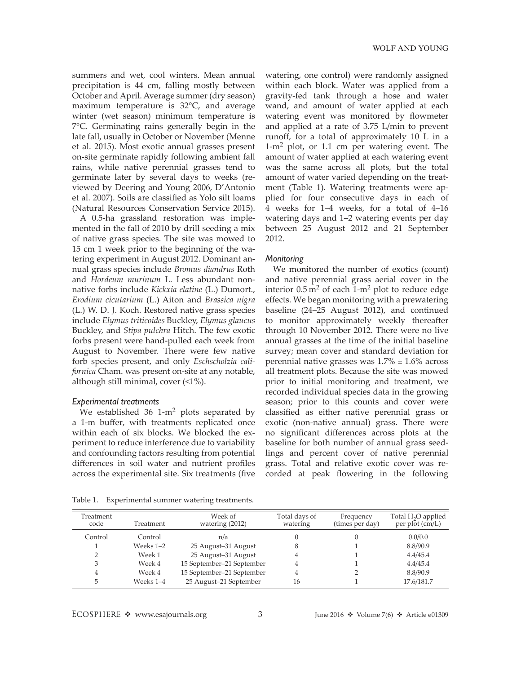summers and wet, cool winters. Mean annual precipitation is 44 cm, falling mostly between October and April. Average summer (dry season) maximum temperature is 32°C, and average winter (wet season) minimum temperature is 7°C. Germinating rains generally begin in the late fall, usually in October or November (Menne et al. 2015). Most exotic annual grasses present on-site germinate rapidly following ambient fall rains, while native perennial grasses tend to germinate later by several days to weeks (reviewed by Deering and Young 2006, D'Antonio et al. 2007). Soils are classified as Yolo silt loams (Natural Resources Conservation Service 2015).

A 0.5-ha grassland restoration was implemented in the fall of 2010 by drill seeding a mix of native grass species. The site was mowed to 15 cm 1 week prior to the beginning of the watering experiment in August 2012. Dominant annual grass species include *Bromus diandrus* Roth and *Hordeum murinum* L. Less abundant nonnative forbs include *Kickxia elatine* (L.) Dumort., *Erodium cicutarium* (L.) Aiton and *Brassica nigra* (L.) W. D. J. Koch. Restored native grass species include *Elymus triticoides* Buckley, *Elymus glaucus* Buckley, and *Stipa pulchra* Hitch. The few exotic forbs present were hand-pulled each week from August to November. There were few native forb species present, and only *Eschscholzia californica* Cham. was present on-site at any notable, although still minimal, cover (<1%).

#### *Experimental treatments*

We established  $36 \text{ 1-m}^2$  plots separated by a 1-m buffer, with treatments replicated once within each of six blocks. We blocked the experiment to reduce interference due to variability and confounding factors resulting from potential differences in soil water and nutrient profiles across the experimental site. Six treatments (five watering, one control) were randomly assigned within each block. Water was applied from a gravity-fed tank through a hose and water wand, and amount of water applied at each watering event was monitored by flowmeter and applied at a rate of 3.75 L/min to prevent runoff, for a total of approximately 10 L in a  $1-m^2$  plot, or 1.1 cm per watering event. The amount of water applied at each watering event was the same across all plots, but the total amount of water varied depending on the treatment (Table 1). Watering treatments were applied for four consecutive days in each of 4 weeks for 1–4 weeks, for a total of 4–16 watering days and 1–2 watering events per day between 25 August 2012 and 21 September 2012.

#### *Monitoring*

We monitored the number of exotics (count) and native perennial grass aerial cover in the interior  $0.5 \text{ m}^2$  of each 1-m<sup>2</sup> plot to reduce edge effects. We began monitoring with a prewatering baseline (24–25 August 2012), and continued to monitor approximately weekly thereafter through 10 November 2012. There were no live annual grasses at the time of the initial baseline survey; mean cover and standard deviation for perennial native grasses was  $1.7\% \pm 1.6\%$  across all treatment plots. Because the site was mowed prior to initial monitoring and treatment, we recorded individual species data in the growing season; prior to this counts and cover were classified as either native perennial grass or exotic (non-native annual) grass. There were no significant differences across plots at the baseline for both number of annual grass seedlings and percent cover of native perennial grass. Total and relative exotic cover was recorded at peak flowering in the following

Table 1. Experimental summer watering treatments.

| Treatment<br>code | Treatment | Week of<br>watering (2012) | Total days of<br>watering | Frequency<br>(times per day) | Total H <sub>2</sub> O applied<br>per plot $\overline{\text{cm/L}}$ |
|-------------------|-----------|----------------------------|---------------------------|------------------------------|---------------------------------------------------------------------|
| Control           | Control   | n/a                        |                           |                              | 0.0/0.0                                                             |
|                   | Weeks 1–2 | 25 August-31 August        | 8                         |                              | 8.8/90.9                                                            |
|                   | Week 1    | 25 August-31 August        | 4                         |                              | 4.4/45.4                                                            |
| 3                 | Week 4    | 15 September-21 September  | 4                         |                              | 4.4/45.4                                                            |
| 4                 | Week 4    | 15 September-21 September  | 4                         |                              | 8.8/90.9                                                            |
| 5                 | Weeks 1-4 | 25 August-21 September     | 16                        |                              | 17.6/181.7                                                          |

ECOSPHERE  $\triangleleft$  www.esajournals.org 3 June 2016  $\triangleleft$  Volume 7(6)  $\triangleleft$  Article e01309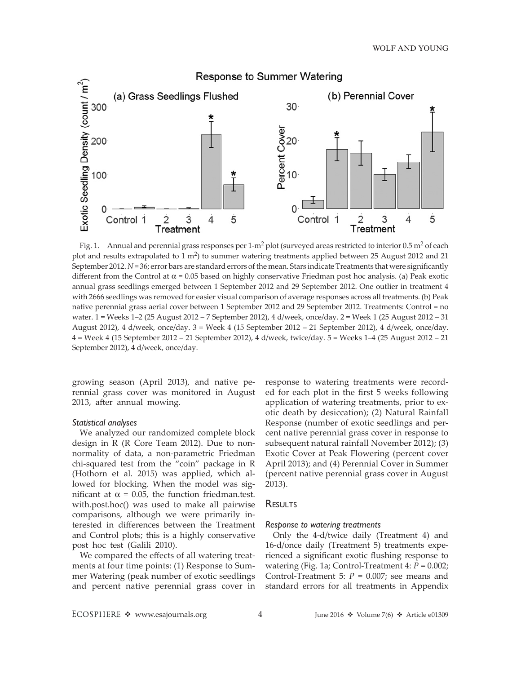

Fig. 1. Annual and perennial grass responses per  $1-m^2$  plot (surveyed areas restricted to interior 0.5 m<sup>2</sup> of each plot and results extrapolated to  $1 \text{ m}^2$ ) to summer watering treatments applied between 25 August 2012 and 21 September 2012. *N* = 36; error bars are standard errors of the mean. Stars indicate Treatments that were significantly different from the Control at  $\alpha$  = 0.05 based on highly conservative Friedman post hoc analysis. (a) Peak exotic annual grass seedlings emerged between 1 September 2012 and 29 September 2012. One outlier in treatment 4 with 2666 seedlings was removed for easier visual comparison of average responses across all treatments. (b) Peak native perennial grass aerial cover between 1 September 2012 and 29 September 2012. Treatments: Control = no water. 1 = Weeks 1–2 (25 August 2012 – 7 September 2012), 4 d/week, once/day. 2 = Week 1 (25 August 2012 – 31 August 2012), 4 d/week, once/day. 3 = Week 4 (15 September 2012 – 21 September 2012), 4 d/week, once/day. 4 = Week 4 (15 September 2012 – 21 September 2012), 4 d/week, twice/day. 5 = Weeks 1–4 (25 August 2012 – 21 September 2012), 4 d/week, once/day.

growing season (April 2013), and native perennial grass cover was monitored in August 2013, after annual mowing.

### *Statistical analyses*

We analyzed our randomized complete block design in R (R Core Team 2012). Due to nonnormality of data, a non-parametric Friedman chi-squared test from the "coin" package in R (Hothorn et al. 2015) was applied, which allowed for blocking. When the model was significant at  $\alpha$  = 0.05, the function friedman.test. with.post.hoc() was used to make all pairwise comparisons, although we were primarily interested in differences between the Treatment and Control plots; this is a highly conservative post hoc test (Galili 2010).

We compared the effects of all watering treatments at four time points: (1) Response to Summer Watering (peak number of exotic seedlings and percent native perennial grass cover in

response to watering treatments were recorded for each plot in the first 5 weeks following application of watering treatments, prior to exotic death by desiccation); (2) Natural Rainfall Response (number of exotic seedlings and percent native perennial grass cover in response to subsequent natural rainfall November 2012); (3) Exotic Cover at Peak Flowering (percent cover April 2013); and (4) Perennial Cover in Summer (percent native perennial grass cover in August 2013).

# RESULTS

#### *Response to watering treatments*

Only the 4-d/twice daily (Treatment 4) and 16-d/once daily (Treatment 5) treatments experienced a significant exotic flushing response to watering (Fig. 1a; Control-Treatment 4: *P* = 0.002; Control-Treatment 5: *P* = 0.007; see means and standard errors for all treatments in Appendix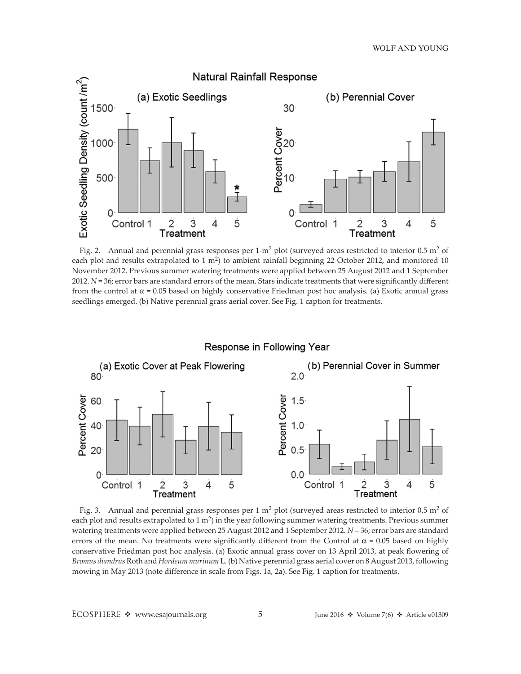

Fig. 2. Annual and perennial grass responses per  $1-m^2$  plot (surveyed areas restricted to interior 0.5 m<sup>2</sup> of each plot and results extrapolated to 1 m<sup>2</sup>) to ambient rainfall beginning 22 October 2012, and monitored 10 November 2012. Previous summer watering treatments were applied between 25 August 2012 and 1 September 2012. *N* = 36; error bars are standard errors of the mean. Stars indicate treatments that were significantly different from the control at  $\alpha$  = 0.05 based on highly conservative Friedman post hoc analysis. (a) Exotic annual grass seedlings emerged. (b) Native perennial grass aerial cover. See Fig. 1 caption for treatments.



Fig. 3. Annual and perennial grass responses per 1  $m^2$  plot (surveyed areas restricted to interior 0.5  $m^2$  of each plot and results extrapolated to  $1 \text{ m}^2$ ) in the year following summer watering treatments. Previous summer watering treatments were applied between 25 August 2012 and 1 September 2012. *N* = 36; error bars are standard errors of the mean. No treatments were significantly different from the Control at  $\alpha$  = 0.05 based on highly conservative Friedman post hoc analysis. (a) Exotic annual grass cover on 13 April 2013, at peak flowering of *Bromus diandrus* Roth and *Hordeum murinum* L. (b) Native perennial grass aerial cover on 8 August 2013, following mowing in May 2013 (note difference in scale from Figs. 1a, 2a). See Fig. 1 caption for treatments.

ECOSPHERE  $\triangleq$  www.esajournals.org 5 June 2016  $\triangleq$  Volume 7(6)  $\triangleq$  Article e01309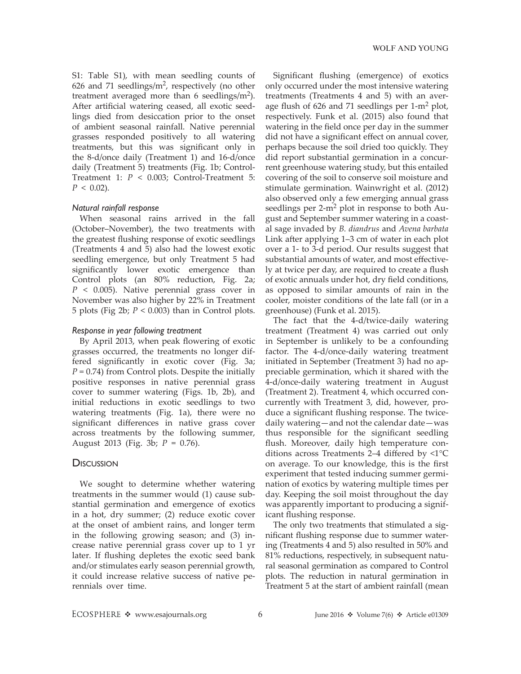S1: Table S1), with mean seedling counts of 626 and 71 seedlings/ $m<sup>2</sup>$ , respectively (no other treatment averaged more than 6 seedlings/ $m<sup>2</sup>$ ). After artificial watering ceased, all exotic seedlings died from desiccation prior to the onset of ambient seasonal rainfall. Native perennial grasses responded positively to all watering treatments, but this was significant only in the 8-d/once daily (Treatment 1) and 16-d/once daily (Treatment 5) treatments (Fig. 1b; Control-Treatment 1: *P* < 0.003; Control-Treatment 5:  $P < 0.02$ ).

### *Natural rainfall response*

When seasonal rains arrived in the fall (October–November), the two treatments with the greatest flushing response of exotic seedlings (Treatments 4 and 5) also had the lowest exotic seedling emergence, but only Treatment 5 had significantly lower exotic emergence than Control plots (an 80% reduction, Fig. 2a; *P* < 0.005). Native perennial grass cover in November was also higher by 22% in Treatment 5 plots (Fig 2b;  $P < 0.003$ ) than in Control plots.

### *Response in year following treatment*

By April 2013, when peak flowering of exotic grasses occurred, the treatments no longer differed significantly in exotic cover (Fig. 3a; *P* = 0.74) from Control plots. Despite the initially positive responses in native perennial grass cover to summer watering (Figs. 1b, 2b), and initial reductions in exotic seedlings to two watering treatments (Fig. 1a), there were no significant differences in native grass cover across treatments by the following summer, August 2013 (Fig. 3b; *P* = 0.76).

## **Discussion**

We sought to determine whether watering treatments in the summer would (1) cause substantial germination and emergence of exotics in a hot, dry summer; (2) reduce exotic cover at the onset of ambient rains, and longer term in the following growing season; and (3) increase native perennial grass cover up to 1 yr later. If flushing depletes the exotic seed bank and/or stimulates early season perennial growth, it could increase relative success of native perennials over time.

Significant flushing (emergence) of exotics only occurred under the most intensive watering treatments (Treatments 4 and 5) with an average flush of  $626$  and 71 seedlings per  $1-m^2$  plot, respectively. Funk et al. (2015) also found that watering in the field once per day in the summer did not have a significant effect on annual cover, perhaps because the soil dried too quickly. They did report substantial germination in a concurrent greenhouse watering study, but this entailed covering of the soil to conserve soil moisture and stimulate germination. Wainwright et al. (2012) also observed only a few emerging annual grass seedlings per  $2-m^2$  plot in response to both August and September summer watering in a coastal sage invaded by *B. diandrus* and *Avena barbata* Link after applying 1–3 cm of water in each plot over a 1- to 3-d period. Our results suggest that substantial amounts of water, and most effectively at twice per day, are required to create a flush of exotic annuals under hot, dry field conditions, as opposed to similar amounts of rain in the cooler, moister conditions of the late fall (or in a greenhouse) (Funk et al. 2015).

The fact that the 4-d/twice-daily watering treatment (Treatment 4) was carried out only in September is unlikely to be a confounding factor. The 4-d/once-daily watering treatment initiated in September (Treatment 3) had no appreciable germination, which it shared with the 4-d/once-daily watering treatment in August (Treatment 2). Treatment 4, which occurred concurrently with Treatment 3, did, however, produce a significant flushing response. The twicedaily watering—and not the calendar date—was thus responsible for the significant seedling flush. Moreover, daily high temperature conditions across Treatments 2–4 differed by <1°C on average. To our knowledge, this is the first experiment that tested inducing summer germination of exotics by watering multiple times per day. Keeping the soil moist throughout the day was apparently important to producing a significant flushing response.

The only two treatments that stimulated a significant flushing response due to summer watering (Treatments 4 and 5) also resulted in 50% and 81% reductions, respectively, in subsequent natural seasonal germination as compared to Control plots. The reduction in natural germination in Treatment 5 at the start of ambient rainfall (mean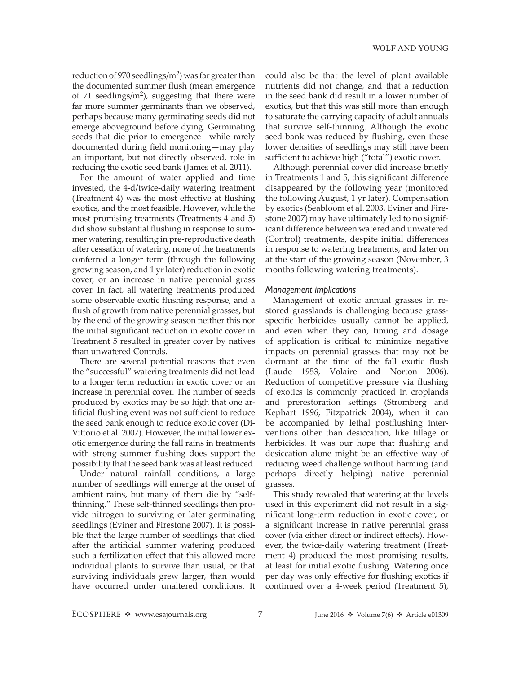reduction of 970 seedlings/ $m<sup>2</sup>$ ) was far greater than the documented summer flush (mean emergence of 71 seedlings/ $m<sup>2</sup>$ ), suggesting that there were far more summer germinants than we observed, perhaps because many germinating seeds did not emerge aboveground before dying. Germinating seeds that die prior to emergence—while rarely documented during field monitoring—may play an important, but not directly observed, role in reducing the exotic seed bank (James et al. 2011).

For the amount of water applied and time invested, the 4-d/twice-daily watering treatment (Treatment 4) was the most effective at flushing exotics, and the most feasible. However, while the most promising treatments (Treatments 4 and 5) did show substantial flushing in response to summer watering, resulting in pre-reproductive death after cessation of watering, none of the treatments conferred a longer term (through the following growing season, and 1 yr later) reduction in exotic cover, or an increase in native perennial grass cover. In fact, all watering treatments produced some observable exotic flushing response, and a flush of growth from native perennial grasses, but by the end of the growing season neither this nor the initial significant reduction in exotic cover in Treatment 5 resulted in greater cover by natives than unwatered Controls.

There are several potential reasons that even the "successful" watering treatments did not lead to a longer term reduction in exotic cover or an increase in perennial cover. The number of seeds produced by exotics may be so high that one artificial flushing event was not sufficient to reduce the seed bank enough to reduce exotic cover (Di-Vittorio et al. 2007). However, the initial lower exotic emergence during the fall rains in treatments with strong summer flushing does support the possibility that the seed bank was at least reduced.

Under natural rainfall conditions, a large number of seedlings will emerge at the onset of ambient rains, but many of them die by "selfthinning." These self-thinned seedlings then provide nitrogen to surviving or later germinating seedlings (Eviner and Firestone 2007). It is possible that the large number of seedlings that died after the artificial summer watering produced such a fertilization effect that this allowed more individual plants to survive than usual, or that surviving individuals grew larger, than would have occurred under unaltered conditions. It could also be that the level of plant available nutrients did not change, and that a reduction in the seed bank did result in a lower number of exotics, but that this was still more than enough to saturate the carrying capacity of adult annuals that survive self-thinning. Although the exotic seed bank was reduced by flushing, even these lower densities of seedlings may still have been sufficient to achieve high ("total") exotic cover.

Although perennial cover did increase briefly in Treatments 1 and 5, this significant difference disappeared by the following year (monitored the following August, 1 yr later). Compensation by exotics (Seabloom et al. 2003, Eviner and Firestone 2007) may have ultimately led to no significant difference between watered and unwatered (Control) treatments, despite initial differences in response to watering treatments, and later on at the start of the growing season (November, 3 months following watering treatments).

### *Management implications*

Management of exotic annual grasses in restored grasslands is challenging because grassspecific herbicides usually cannot be applied, and even when they can, timing and dosage of application is critical to minimize negative impacts on perennial grasses that may not be dormant at the time of the fall exotic flush (Laude 1953, Volaire and Norton 2006). Reduction of competitive pressure via flushing of exotics is commonly practiced in croplands and prerestoration settings (Stromberg and Kephart 1996, Fitzpatrick 2004), when it can be accompanied by lethal postflushing interventions other than desiccation, like tillage or herbicides. It was our hope that flushing and desiccation alone might be an effective way of reducing weed challenge without harming (and perhaps directly helping) native perennial grasses.

This study revealed that watering at the levels used in this experiment did not result in a significant long-term reduction in exotic cover, or a significant increase in native perennial grass cover (via either direct or indirect effects). However, the twice-daily watering treatment (Treatment 4) produced the most promising results, at least for initial exotic flushing. Watering once per day was only effective for flushing exotics if continued over a 4-week period (Treatment 5),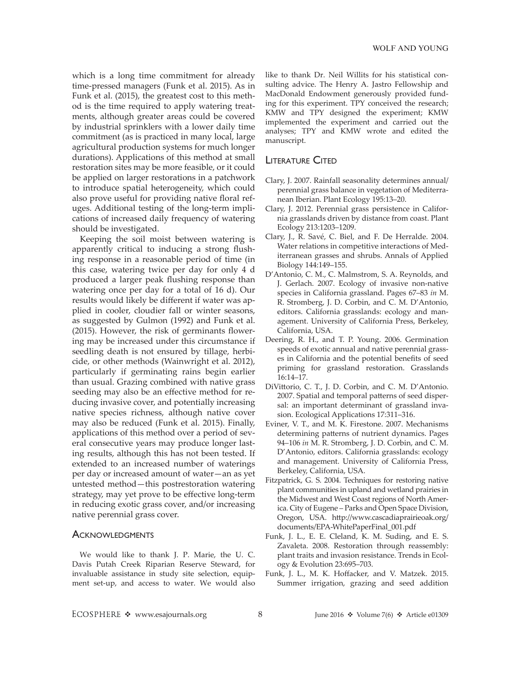which is a long time commitment for already time-pressed managers (Funk et al. 2015). As in Funk et al. (2015), the greatest cost to this method is the time required to apply watering treatments, although greater areas could be covered by industrial sprinklers with a lower daily time commitment (as is practiced in many local, large agricultural production systems for much longer durations). Applications of this method at small restoration sites may be more feasible, or it could be applied on larger restorations in a patchwork to introduce spatial heterogeneity, which could also prove useful for providing native floral refuges. Additional testing of the long-term implications of increased daily frequency of watering should be investigated.

Keeping the soil moist between watering is apparently critical to inducing a strong flushing response in a reasonable period of time (in this case, watering twice per day for only 4 d produced a larger peak flushing response than watering once per day for a total of 16 d). Our results would likely be different if water was applied in cooler, cloudier fall or winter seasons, as suggested by Gulmon (1992) and Funk et al. (2015). However, the risk of germinants flowering may be increased under this circumstance if seedling death is not ensured by tillage, herbicide, or other methods (Wainwright et al. 2012), particularly if germinating rains begin earlier than usual. Grazing combined with native grass seeding may also be an effective method for reducing invasive cover, and potentially increasing native species richness, although native cover may also be reduced (Funk et al. 2015). Finally, applications of this method over a period of several consecutive years may produce longer lasting results, although this has not been tested. If extended to an increased number of waterings per day or increased amount of water—an as yet untested method—this postrestoration watering strategy, may yet prove to be effective long-term in reducing exotic grass cover, and/or increasing native perennial grass cover.

# **ACKNOWLEDGMENTS**

We would like to thank J. P. Marie, the U. C. Davis Putah Creek Riparian Reserve Steward, for invaluable assistance in study site selection, equipment set-up, and access to water. We would also like to thank Dr. Neil Willits for his statistical consulting advice. The Henry A. Jastro Fellowship and MacDonald Endowment generously provided funding for this experiment. TPY conceived the research; KMW and TPY designed the experiment; KMW implemented the experiment and carried out the analyses; TPY and KMW wrote and edited the manuscript.

# Literature Cited

- Clary, J. 2007. Rainfall seasonality determines annual/ perennial grass balance in vegetation of Mediterranean Iberian. Plant Ecology 195:13–20.
- Clary, J. 2012. Perennial grass persistence in California grasslands driven by distance from coast. Plant Ecology 213:1203–1209.
- Clary, J., R. Savé, C. Biel, and F. De Herralde. 2004. Water relations in competitive interactions of Mediterranean grasses and shrubs. Annals of Applied Biology 144:149–155.
- D'Antonio, C. M., C. Malmstrom, S. A. Reynolds, and J. Gerlach. 2007. Ecology of invasive non-native species in California grassland. Pages 67–83 *in* M. R. Stromberg, J. D. Corbin, and C. M. D'Antonio, editors. California grasslands: ecology and management. University of California Press, Berkeley, California, USA.
- Deering, R. H., and T. P. Young. 2006. Germination speeds of exotic annual and native perennial grasses in California and the potential benefits of seed priming for grassland restoration. Grasslands 16:14–17.
- DiVittorio, C. T., J. D. Corbin, and C. M. D'Antonio. 2007. Spatial and temporal patterns of seed dispersal: an important determinant of grassland invasion. Ecological Applications 17:311–316.
- Eviner, V. T., and M. K. Firestone. 2007. Mechanisms determining patterns of nutrient dynamics. Pages 94–106 *in* M. R. Stromberg, J. D. Corbin, and C. M. D'Antonio, editors. California grasslands: ecology and management. University of California Press, Berkeley, California, USA.
- Fitzpatrick, G. S. 2004. Techniques for restoring native plant communities in upland and wetland prairies in the Midwest and West Coast regions of North America. City of Eugene – Parks and Open Space Division, Oregon, USA. [http://www.cascadiaprairieoak.org/](http://www.cascadiaprairieoak.org/documents/EPA-WhitePaperFinal_001.pdf) [documents/EPA-WhitePaperFinal\\_001.pdf](http://www.cascadiaprairieoak.org/documents/EPA-WhitePaperFinal_001.pdf)
- Funk, J. L., E. E. Cleland, K. M. Suding, and E. S. Zavaleta. 2008. Restoration through reassembly: plant traits and invasion resistance. Trends in Ecology & Evolution 23:695–703.
- Funk, J. L., M. K. Hoffacker, and V. Matzek. 2015. Summer irrigation, grazing and seed addition